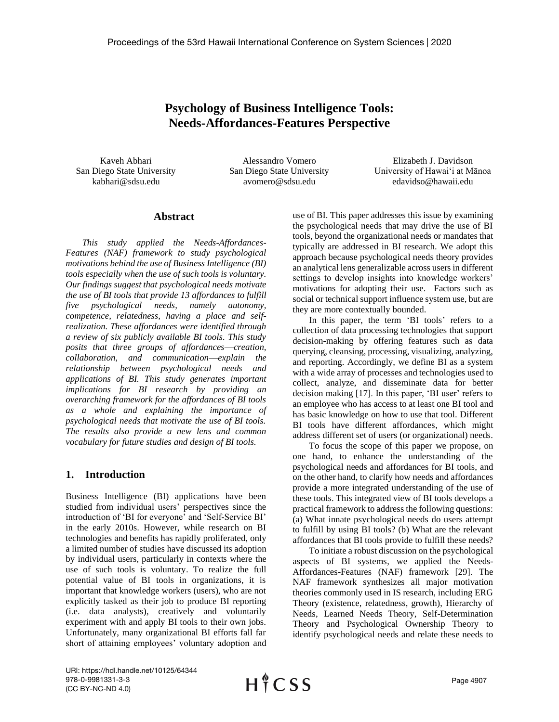# **Psychology of Business Intelligence Tools: Needs-Affordances-Features Perspective**

Kaveh Abhari San Diego State University kabhari@sdsu.edu

Alessandro Vomero San Diego State University avomero@sdsu.edu

Elizabeth J. Davidson University of Hawaiʻi at Mānoa edavidso@hawaii.edu

## **Abstract**

*This study applied the Needs-Affordances-Features (NAF) framework to study psychological motivations behind the use of Business Intelligence (BI) tools especially when the use of such tools is voluntary. Our findings suggest that psychological needs motivate the use of BI tools that provide 13 affordances to fulfill five psychological needs, namely autonomy, competence, relatedness, having a place and selfrealization. These affordances were identified through a review of six publicly available BI tools. This study posits that three groups of affordances––creation, collaboration, and communication––explain the relationship between psychological needs and applications of BI. This study generates important implications for BI research by providing an overarching framework for the affordances of BI tools as a whole and explaining the importance of psychological needs that motivate the use of BI tools. The results also provide a new lens and common vocabulary for future studies and design of BI tools.* 

## **1. Introduction**

Business Intelligence (BI) applications have been studied from individual users' perspectives since the introduction of 'BI for everyone' and 'Self-Service BI' in the early 2010s. However, while research on BI technologies and benefits has rapidly proliferated, only a limited number of studies have discussed its adoption by individual users, particularly in contexts where the use of such tools is voluntary. To realize the full potential value of BI tools in organizations, it is important that knowledge workers (users), who are not explicitly tasked as their job to produce BI reporting (i.e. data analysts), creatively and voluntarily experiment with and apply BI tools to their own jobs. Unfortunately, many organizational BI efforts fall far short of attaining employees' voluntary adoption and use of BI. This paper addresses this issue by examining the psychological needs that may drive the use of BI tools, beyond the organizational needs or mandates that typically are addressed in BI research. We adopt this approach because psychological needs theory provides an analytical lens generalizable across users in different settings to develop insights into knowledge workers' motivations for adopting their use. Factors such as social or technical support influence system use, but are they are more contextually bounded.

In this paper, the term 'BI tools' refers to a collection of data processing technologies that support decision-making by offering features such as data querying, cleansing, processing, visualizing, analyzing, and reporting. Accordingly, we define BI as a system with a wide array of processes and technologies used to collect, analyze, and disseminate data for better decision making [17]. In this paper, 'BI user' refers to an employee who has access to at least one BI tool and has basic knowledge on how to use that tool. Different BI tools have different affordances, which might address different set of users (or organizational) needs.

To focus the scope of this paper we propose, on one hand, to enhance the understanding of the psychological needs and affordances for BI tools, and on the other hand, to clarify how needs and affordances provide a more integrated understanding of the use of these tools. This integrated view of BI tools develops a practical framework to address the following questions: (a) What innate psychological needs do users attempt to fulfill by using BI tools? (b) What are the relevant affordances that BI tools provide to fulfill these needs?

To initiate a robust discussion on the psychological aspects of BI systems, we applied the Needs-Affordances-Features (NAF) framework [29]. The NAF framework synthesizes all major motivation theories commonly used in IS research, including ERG Theory (existence, relatedness, growth), Hierarchy of Needs, Learned Needs Theory, Self-Determination Theory and Psychological Ownership Theory to identify psychological needs and relate these needs to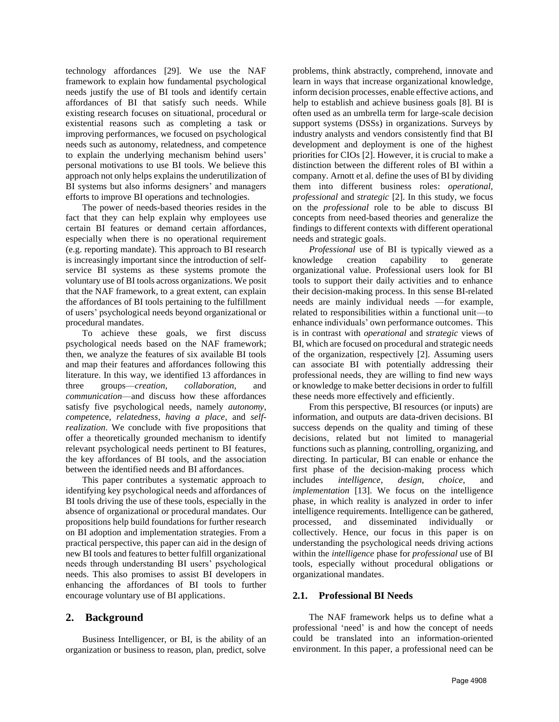technology affordances [29]. We use the NAF framework to explain how fundamental psychological needs justify the use of BI tools and identify certain affordances of BI that satisfy such needs. While existing research focuses on situational, procedural or existential reasons such as completing a task or improving performances, we focused on psychological needs such as autonomy, relatedness, and competence to explain the underlying mechanism behind users' personal motivations to use BI tools. We believe this approach not only helps explains the underutilization of BI systems but also informs designers' and managers efforts to improve BI operations and technologies.

The power of needs-based theories resides in the fact that they can help explain why employees use certain BI features or demand certain affordances, especially when there is no operational requirement (e.g. reporting mandate). This approach to BI research is increasingly important since the introduction of selfservice BI systems as these systems promote the voluntary use of BI tools across organizations. We posit that the NAF framework, to a great extent, can explain the affordances of BI tools pertaining to the fulfillment of users' psychological needs beyond organizational or procedural mandates.

To achieve these goals, we first discuss psychological needs based on the NAF framework; then, we analyze the features of six available BI tools and map their features and affordances following this literature. In this way, we identified 13 affordances in three groups––*creation*, *collaboration*, and *communication*––and discuss how these affordances satisfy five psychological needs, namely *autonomy*, *competenc*e, *relatedness*, *having a place*, and *selfrealization*. We conclude with five propositions that offer a theoretically grounded mechanism to identify relevant psychological needs pertinent to BI features, the key affordances of BI tools, and the association between the identified needs and BI affordances.

This paper contributes a systematic approach to identifying key psychological needs and affordances of BI tools driving the use of these tools, especially in the absence of organizational or procedural mandates. Our propositions help build foundations for further research on BI adoption and implementation strategies. From a practical perspective, this paper can aid in the design of new BI tools and features to better fulfill organizational needs through understanding BI users' psychological needs. This also promises to assist BI developers in enhancing the affordances of BI tools to further encourage voluntary use of BI applications.

## **2. Background**

Business Intelligencer, or BI, is the ability of an organization or business to reason, plan, predict, solve

problems, think abstractly, comprehend, innovate and learn in ways that increase organizational knowledge, inform decision processes, enable effective actions, and help to establish and achieve business goals [8]. BI is often used as an umbrella term for large-scale decision support systems (DSSs) in organizations. Surveys by industry analysts and vendors consistently find that BI development and deployment is one of the highest priorities for CIOs [2]. However, it is crucial to make a distinction between the different roles of BI within a company. Arnott et al. define the uses of BI by dividing them into different business roles: *operational*, *professional* and *strategic* [2]. In this study, we focus on the *professional* role to be able to discuss BI concepts from need-based theories and generalize the findings to different contexts with different operational needs and strategic goals.

*Professional* use of BI is typically viewed as a knowledge creation capability to generate organizational value. Professional users look for BI tools to support their daily activities and to enhance their decision-making process. In this sense BI-related needs are mainly individual needs ––for example, related to responsibilities within a functional unit––to enhance individuals' own performance outcomes. This is in contrast with *operational* and *strategic* views of BI, which are focused on procedural and strategic needs of the organization, respectively [2]. Assuming users can associate BI with potentially addressing their professional needs, they are willing to find new ways or knowledge to make better decisions in order to fulfill these needs more effectively and efficiently.

From this perspective, BI resources (or inputs) are information, and outputs are data-driven decisions. BI success depends on the quality and timing of these decisions, related but not limited to managerial functions such as planning, controlling, organizing, and directing. In particular, BI can enable or enhance the first phase of the decision-making process which includes *intelligence*, *design*, *choice*, and *implementation* [13]. We focus on the intelligence phase, in which reality is analyzed in order to infer intelligence requirements. Intelligence can be gathered, processed, and disseminated individually or collectively. Hence, our focus in this paper is on understanding the psychological needs driving actions within the *intelligence* phase for *professional* use of BI tools, especially without procedural obligations or organizational mandates.

## **2.1. Professional BI Needs**

The NAF framework helps us to define what a professional 'need' is and how the concept of needs could be translated into an information-oriented environment. In this paper, a professional need can be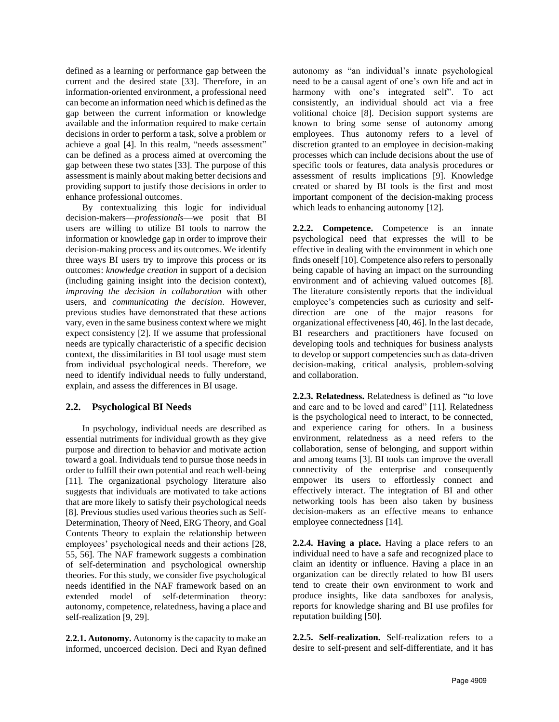defined as a learning or performance gap between the current and the desired state [33]. Therefore, in an information-oriented environment, a professional need can become an information need which is defined as the gap between the current information or knowledge available and the information required to make certain decisions in order to perform a task, solve a problem or achieve a goal [4]. In this realm, "needs assessment" can be defined as a process aimed at overcoming the gap between these two states [33]. The purpose of this assessment is mainly about making better decisions and providing support to justify those decisions in order to enhance professional outcomes.

By contextualizing this logic for individual decision-makers––*professionals––*we posit that BI users are willing to utilize BI tools to narrow the information or knowledge gap in order to improve their decision-making process and its outcomes. We identify three ways BI users try to improve this process or its outcomes: *knowledge creation* in support of a decision (including gaining insight into the decision context), *improving the decision in collaboration* with other users, and *communicating the decision*. However, previous studies have demonstrated that these actions vary, even in the same business context where we might expect consistency [2]. If we assume that professional needs are typically characteristic of a specific decision context, the dissimilarities in BI tool usage must stem from individual psychological needs. Therefore, we need to identify individual needs to fully understand, explain, and assess the differences in BI usage.

## **2.2. Psychological BI Needs**

In psychology, individual needs are described as essential nutriments for individual growth as they give purpose and direction to behavior and motivate action toward a goal. Individuals tend to pursue those needs in order to fulfill their own potential and reach well-being [11]. The organizational psychology literature also suggests that individuals are motivated to take actions that are more likely to satisfy their psychological needs [8]. Previous studies used various theories such as Self-Determination, Theory of Need, ERG Theory, and Goal Contents Theory to explain the relationship between employees' psychological needs and their actions [28, 55, 56]. The NAF framework suggests a combination of self-determination and psychological ownership theories. For this study, we consider five psychological needs identified in the NAF framework based on an extended model of self-determination theory: autonomy, competence, relatedness, having a place and self-realization [9, 29].

**2.2.1. Autonomy.** Autonomy is the capacity to make an informed, uncoerced decision. Deci and Ryan defined autonomy as "an individual's innate psychological need to be a causal agent of one's own life and act in harmony with one's integrated self". To act consistently, an individual should act via a free volitional choice [8]. Decision support systems are known to bring some sense of autonomy among employees. Thus autonomy refers to a level of discretion granted to an employee in decision-making processes which can include decisions about the use of specific tools or features, data analysis procedures or assessment of results implications [9]. Knowledge created or shared by BI tools is the first and most important component of the decision-making process which leads to enhancing autonomy [12].

**2.2.2. Competence.** Competence is an innate psychological need that expresses the will to be effective in dealing with the environment in which one finds oneself [10]. Competence also refers to personally being capable of having an impact on the surrounding environment and of achieving valued outcomes [8]. The literature consistently reports that the individual employee's competencies such as curiosity and selfdirection are one of the major reasons for organizational effectiveness [40, 46]. In the last decade, BI researchers and practitioners have focused on developing tools and techniques for business analysts to develop or support competencies such as data-driven decision-making, critical analysis, problem-solving and collaboration.

**2.2.3. Relatedness.** Relatedness is defined as "to love and care and to be loved and cared" [11]. Relatedness is the psychological need to interact, to be connected, and experience caring for others. In a business environment, relatedness as a need refers to the collaboration, sense of belonging, and support within and among teams [3]. BI tools can improve the overall connectivity of the enterprise and consequently empower its users to effortlessly connect and effectively interact. The integration of BI and other networking tools has been also taken by business decision-makers as an effective means to enhance employee connectedness [14].

**2.2.4. Having a place.** Having a place refers to an individual need to have a safe and recognized place to claim an identity or influence. Having a place in an organization can be directly related to how BI users tend to create their own environment to work and produce insights, like data sandboxes for analysis, reports for knowledge sharing and BI use profiles for reputation building [50].

**2.2.5. Self-realization.** Self-realization refers to a desire to self-present and self-differentiate, and it has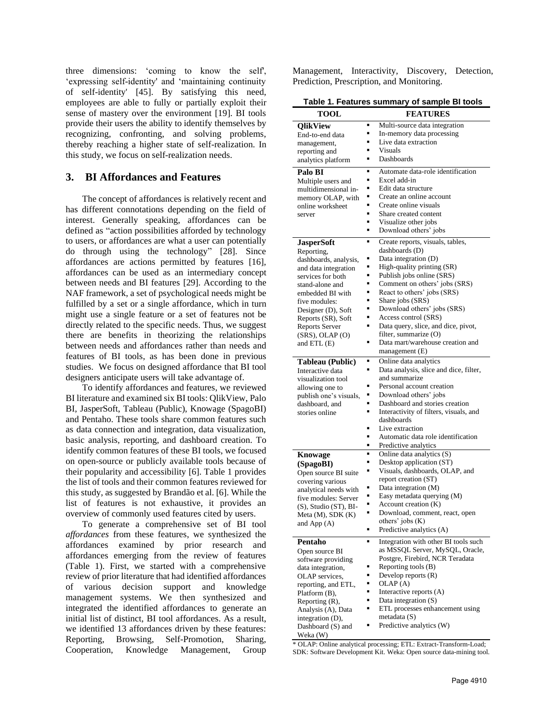three dimensions: 'coming to know the self', 'expressing self-identity' and 'maintaining continuity of self-identity' [45]. By satisfying this need, employees are able to fully or partially exploit their sense of mastery over the environment [19]. BI tools provide their users the ability to identify themselves by recognizing, confronting, and solving problems, thereby reaching a higher state of self-realization. In this study, we focus on self-realization needs.

## **3. BI Affordances and Features**

The concept of affordances is relatively recent and has different connotations depending on the field of interest. Generally speaking, affordances can be defined as "action possibilities afforded by technology to users, or affordances are what a user can potentially do through using the technology" [28]. Since affordances are actions permitted by features [16], affordances can be used as an intermediary concept between needs and BI features [29]. According to the NAF framework, a set of psychological needs might be fulfilled by a set or a single affordance, which in turn might use a single feature or a set of features not be directly related to the specific needs. Thus, we suggest there are benefits in theorizing the relationships between needs and affordances rather than needs and features of BI tools, as has been done in previous studies. We focus on designed affordance that BI tool designers anticipate users will take advantage of.

To identify affordances and features, we reviewed BI literature and examined six BI tools: QlikView, Palo BI, JasperSoft, Tableau (Public), Knowage (SpagoBI) and Pentaho. These tools share common features such as data connection and integration, data visualization, basic analysis, reporting, and dashboard creation. To identify common features of these BI tools, we focused on open-source or publicly available tools because of their popularity and accessibility [6]. Table 1 provides the list of tools and their common features reviewed for this study, as suggested by Brandão et al. [6]. While the list of features is not exhaustive, it provides an overview of commonly used features cited by users.

To generate a comprehensive set of BI tool *affordances* from these features, we synthesized the affordances examined by prior research and affordances emerging from the review of features (Table 1). First, we started with a comprehensive review of prior literature that had identified affordances of various decision support and knowledge management systems. We then synthesized and integrated the identified affordances to generate an initial list of distinct, BI tool affordances. As a result, we identified 13 affordances driven by these features: Reporting, Browsing, Self-Promotion, Sharing, Cooperation, Knowledge Management, Group

Management, Interactivity, Discovery, Detection, Prediction, Prescription, and Monitoring.

| <b>TOOL</b>                               |                     | <b>FEATURES</b>                                                         |  |  |  |  |
|-------------------------------------------|---------------------|-------------------------------------------------------------------------|--|--|--|--|
| <b>QlikView</b>                           | п                   | Multi-source data integration                                           |  |  |  |  |
| End-to-end data                           | п                   | In-memory data processing                                               |  |  |  |  |
| management,                               | ٠                   | Live data extraction                                                    |  |  |  |  |
| reporting and                             | п                   | <b>Visuals</b>                                                          |  |  |  |  |
| analytics platform                        | ٠                   | Dashboards                                                              |  |  |  |  |
| Palo BI                                   | П                   | Automate data-role identification                                       |  |  |  |  |
| Multiple users and                        | п                   | Excel add-in<br>Edit data structure                                     |  |  |  |  |
| multidimensional in-                      | ٠                   | Create an online account                                                |  |  |  |  |
| memory OLAP, with<br>online worksheet     | п                   | Create online visuals                                                   |  |  |  |  |
| server                                    | п                   | Share created content                                                   |  |  |  |  |
|                                           | п                   | Visualize other jobs                                                    |  |  |  |  |
|                                           | Ξ                   | Download others' jobs                                                   |  |  |  |  |
| <b>JasperSoft</b>                         | п                   | Create reports, visuals, tables,                                        |  |  |  |  |
| Reporting,                                |                     | dashboards (D)                                                          |  |  |  |  |
| dashboards, analysis,                     | п                   | Data integration (D)                                                    |  |  |  |  |
| and data integration                      | ٠<br>٠              | High-quality printing (SR)<br>Publish jobs online (SRS)                 |  |  |  |  |
| services for both<br>stand-alone and      | ■                   | Comment on others' jobs (SRS)                                           |  |  |  |  |
| embedded BI with                          | ■                   | React to others' jobs (SRS)                                             |  |  |  |  |
| five modules:                             | ■                   | Share jobs (SRS)                                                        |  |  |  |  |
| Designer (D), Soft                        | ٠                   | Download others' jobs (SRS)                                             |  |  |  |  |
| Reports (SR), Soft                        | ٠                   | Access control (SRS)                                                    |  |  |  |  |
| <b>Reports Server</b>                     | п                   | Data query, slice, and dice, pivot,                                     |  |  |  |  |
| $(SRS)$ , OLAP $(O)$                      |                     | filter, summarize (O)                                                   |  |  |  |  |
| and ETL (E)                               | п                   | Data mart/warehouse creation and                                        |  |  |  |  |
|                                           |                     | management (E)                                                          |  |  |  |  |
| <b>Tableau</b> (Public)                   | ٠                   | Online data analytics                                                   |  |  |  |  |
| Interactive data                          | п                   | Data analysis, slice and dice, filter,<br>and summarize                 |  |  |  |  |
| visualization tool                        | ■                   | Personal account creation                                               |  |  |  |  |
| allowing one to<br>publish one's visuals, | ٠                   | Download others' jobs                                                   |  |  |  |  |
| dashboard, and                            | ٠                   | Dashboard and stories creation                                          |  |  |  |  |
| stories online                            | п                   | Interactivity of filters, visuals, and                                  |  |  |  |  |
|                                           |                     | dashboards                                                              |  |  |  |  |
|                                           | п                   | Live extraction                                                         |  |  |  |  |
|                                           | $\blacksquare$      | Automatic data role identification                                      |  |  |  |  |
|                                           | ■<br>$\blacksquare$ | Predictive analytics                                                    |  |  |  |  |
| <b>Knowage</b>                            | ٠                   | Online data analytics (S)<br>Desktop application (ST)                   |  |  |  |  |
| (SpagoBI)<br>Open source BI suite         | ٠                   | Visuals, dashboards, OLAP, and                                          |  |  |  |  |
| covering various                          |                     | report creation (ST)                                                    |  |  |  |  |
| analytical needs with                     |                     | Data integration (M)                                                    |  |  |  |  |
| five modules: Server                      | ٠                   | Easy metadata querying (M)                                              |  |  |  |  |
| (S), Studio (ST), BI-                     | п                   | Account creation (K)                                                    |  |  |  |  |
| Meta (M), SDK (K)                         | п                   | Download, comment, react, open                                          |  |  |  |  |
| and App $(A)$                             |                     | others' jobs (K)<br>Predictive analytics (A)                            |  |  |  |  |
|                                           | $\blacksquare$      |                                                                         |  |  |  |  |
| Pentaho                                   |                     | Integration with other BI tools such<br>as MSSQL Server, MySQL, Oracle, |  |  |  |  |
| Open source BI                            |                     | Postgre, Firebird, NCR Teradata                                         |  |  |  |  |
| software providing<br>data integration,   |                     | Reporting tools (B)                                                     |  |  |  |  |
| OLAP services,                            | ٠                   | Develop reports (R)                                                     |  |  |  |  |
| reporting, and ETL,                       | ٠                   | OLAP (A)                                                                |  |  |  |  |
| Platform (B),                             | ■                   | Interactive reports (A)                                                 |  |  |  |  |
| Reporting (R),                            | ٠                   | Data integration (S)                                                    |  |  |  |  |
| Analysis (A), Data                        | ■                   | ETL processes enhancement using                                         |  |  |  |  |
| integration (D),                          |                     | metadata (S)                                                            |  |  |  |  |
| Dashboard (S) and                         | ٠                   | Predictive analytics (W)                                                |  |  |  |  |
| Weka (W)                                  |                     |                                                                         |  |  |  |  |

\* OLAP: Online analytical processing; ETL: Extract-Transform-Load; SDK: Software Development Kit. Weka: Open source data-mining tool.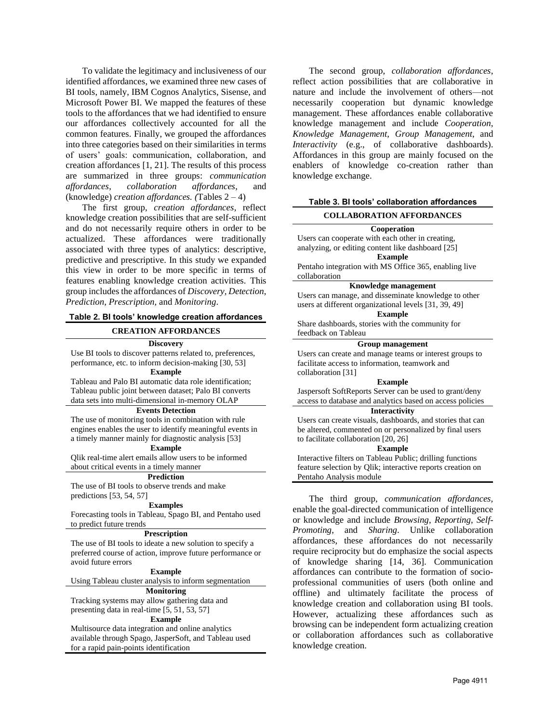To validate the legitimacy and inclusiveness of our identified affordances, we examined three new cases of BI tools, namely, IBM Cognos Analytics, Sisense, and Microsoft Power BI. We mapped the features of these tools to the affordances that we had identified to ensure our affordances collectively accounted for all the common features. Finally, we grouped the affordances into three categories based on their similarities in terms of users' goals: communication, collaboration, and creation affordances [1, 21]. The results of this process are summarized in three groups: *communication affordances*, *collaboration affordances*, and (knowledge) *creation affordances. (*Tables 2 – 4)

The first group, *creation affordances*, reflect knowledge creation possibilities that are self-sufficient and do not necessarily require others in order to be actualized. These affordances were traditionally associated with three types of analytics: descriptive, predictive and prescriptive. In this study we expanded this view in order to be more specific in terms of features enabling knowledge creation activities. This group includes the affordances of *Discovery, Detection, Prediction, Prescription,* and *Monitoring*.

#### **Table 2. BI tools' knowledge creation affordances**

#### **CREATION AFFORDANCES**

**Discovery**

Use BI tools to discover patterns related to, preferences, performance, etc. to inform decision-making [30, 53] **Example**

Tableau and Palo BI automatic data role identification; Tableau public joint between dataset; Palo BI converts data sets into multi-dimensional in-memory OLAP

#### **Events Detection**

The use of monitoring tools in combination with rule engines enables the user to identify meaningful events in a timely manner mainly for diagnostic analysis [53]

## **Example**

Qlik real-time alert emails allow users to be informed about critical events in a timely manner

#### **Prediction**

The use of BI tools to observe trends and make predictions [53, 54, 57]

#### **Examples**

Forecasting tools in Tableau, Spago BI, and Pentaho used to predict future trends

#### **Prescription**

The use of BI tools to ideate a new solution to specify a preferred course of action, improve future performance or avoid future errors

#### **Example**

Using Tableau cluster analysis to inform segmentation **Monitoring**

Tracking systems may allow gathering data and presenting data in real-time [5, 51, 53, 57]

## **Example**

Multisource data integration and online analytics available through Spago, JasperSoft, and Tableau used for a rapid pain-points identification

The second group, *collaboration affordances*, reflect action possibilities that are collaborative in nature and include the involvement of others—not necessarily cooperation but dynamic knowledge management. These affordances enable collaborative knowledge management and include *Cooperation*, *Knowledge Management*, *Group Management*, and *Interactivity* (e.g., of collaborative dashboards). Affordances in this group are mainly focused on the enablers of knowledge co-creation rather than knowledge exchange.

#### **Table 3. BI tools' collaboration affordances**

## **COLLABORATION AFFORDANCES**

#### **Cooperation**

Users can cooperate with each other in creating, analyzing, or editing content like dashboard [25] **Example**

Pentaho integration with MS Office 365, enabling live collaboration

#### **Knowledge management**

Users can manage, and disseminate knowledge to other users at different organizational levels [31, 39, 49] **Example**

Share dashboards, stories with the community for feedback on Tableau

#### **Group management**

Users can create and manage teams or interest groups to facilitate access to information, teamwork and collaboration [31]

#### **Example**

Jaspersoft SoftReports Server can be used to grant/deny access to database and analytics based on access policies

#### **Interactivity**

Users can create visuals, dashboards, and stories that can be altered, commented on or personalized by final users to facilitate collaboration [20, 26]

#### **Example**

Interactive filters on Tableau Public; drilling functions feature selection by Qlik; interactive reports creation on Pentaho Analysis module

The third group, *communication affordances,*  enable the goal-directed communication of intelligence or knowledge and include *Browsing*, *Reporting*, *Self-Promoting*, and *Sharing*. Unlike collaboration affordances, these affordances do not necessarily require reciprocity but do emphasize the social aspects of knowledge sharing [14, 36]. Communication affordances can contribute to the formation of socioprofessional communities of users (both online and offline) and ultimately facilitate the process of knowledge creation and collaboration using BI tools. However, actualizing these affordances such as browsing can be independent form actualizing creation or collaboration affordances such as collaborative knowledge creation.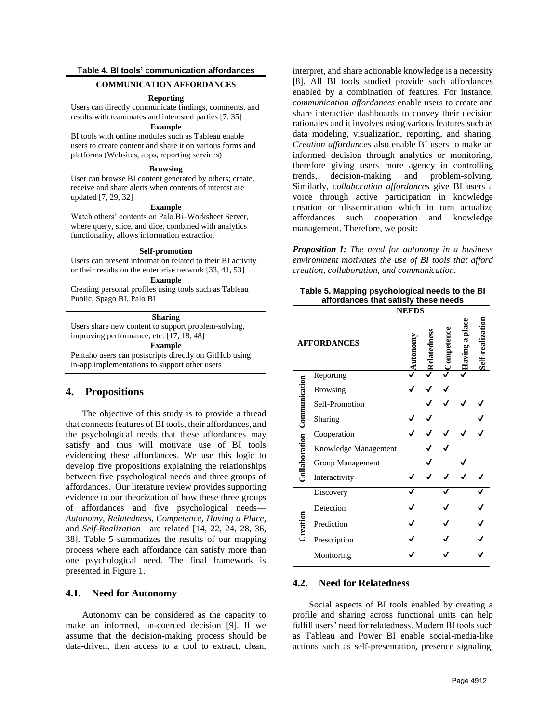## **Table 4. BI tools' communication affordances**

#### **COMMUNICATION AFFORDANCES**

#### **Reporting**

Users can directly communicate findings, comments, and results with teammates and interested parties [7, 35]

## **Example**

BI tools with online modules such as Tableau enable users to create content and share it on various forms and platforms (Websites, apps, reporting services)

### **Browsing**

User can browse BI content generated by others; create, receive and share alerts when contents of interest are updated [7, 29, 32]

#### **Example**

Watch others' contents on Palo Bi–Worksheet Server, where query, slice, and dice, combined with analytics functionality, allows information extraction

#### **Self-promotion**

Users can present information related to their BI activity or their results on the enterprise network [33, 41, 53] **Example**

Creating personal profiles using tools such as Tableau Public, Spago BI, Palo BI

#### **Sharing**

Users share new content to support problem-solving, improving performance, etc. [17, 18, 48]

**Example**

Pentaho users can postscripts directly on GitHub using in-app implementations to support other users

### **4. Propositions**

The objective of this study is to provide a thread that connects features of BI tools, their affordances, and the psychological needs that these affordances may satisfy and thus will motivate use of BI tools evidencing these affordances. We use this logic to develop five propositions explaining the relationships between five psychological needs and three groups of affordances. Our literature review provides supporting evidence to our theorization of how these three groups of affordances and five psychological needs–– *Autonomy, Relatedness, Competence, Having a Place,*  and *Self-Realization*––are related [14, 22, 24, 28, 36, 38]. Table 5 summarizes the results of our mapping process where each affordance can satisfy more than one psychological need. The final framework is presented in Figure 1.

#### **4.1. Need for Autonomy**

Autonomy can be considered as the capacity to make an informed, un-coerced decision [9]. If we assume that the decision-making process should be data-driven, then access to a tool to extract, clean, interpret, and share actionable knowledge is a necessity [8]. All BI tools studied provide such affordances enabled by a combination of features. For instance, *communication affordances* enable users to create and share interactive dashboards to convey their decision rationales and it involves using various features such as data modeling, visualization, reporting, and sharing. *Creation affordances* also enable BI users to make an informed decision through analytics or monitoring, therefore giving users more agency in controlling trends, decision-making and problem-solving*.* Similarly, *collaboration affordances* give BI users a voice through active participation in knowledge creation or dissemination which in turn actualize affordances such cooperation and knowledge management. Therefore, we posit:

*Proposition I: The need for autonomy in a business environment motivates the use of BI tools that afford creation, collaboration, and communication.*

## **Table 5. Mapping psychological needs to the BI affordances that satisfy these needs**

|                             | <b>NEEDS</b>         |        |             |        |                  |  |  |  |
|-----------------------------|----------------------|--------|-------------|--------|------------------|--|--|--|
| <b>AFFORDANCES</b>          |                      | utonom | Relatedness | Comper | ng a pla<br>Havr |  |  |  |
|                             | Reporting            |        |             |        |                  |  |  |  |
|                             | <b>Browsing</b>      |        |             |        |                  |  |  |  |
|                             | Self-Promotion       |        |             |        |                  |  |  |  |
|                             | Sharing              |        |             |        |                  |  |  |  |
| Collaboration Communication | Cooperation          |        |             |        |                  |  |  |  |
|                             | Knowledge Management |        |             |        |                  |  |  |  |
|                             | Group Management     |        |             |        |                  |  |  |  |
|                             | Interactivity        |        |             |        |                  |  |  |  |
| Creation                    | Discovery            |        |             |        |                  |  |  |  |
|                             | Detection            |        |             |        |                  |  |  |  |
|                             | Prediction           |        |             |        |                  |  |  |  |
|                             | Prescription         |        |             |        |                  |  |  |  |
|                             | Monitoring           |        |             |        |                  |  |  |  |

## **4.2. Need for Relatedness**

Social aspects of BI tools enabled by creating a profile and sharing across functional units can help fulfill users' need for relatedness. Modern BI tools such as Tableau and Power BI enable social-media-like actions such as self-presentation, presence signaling,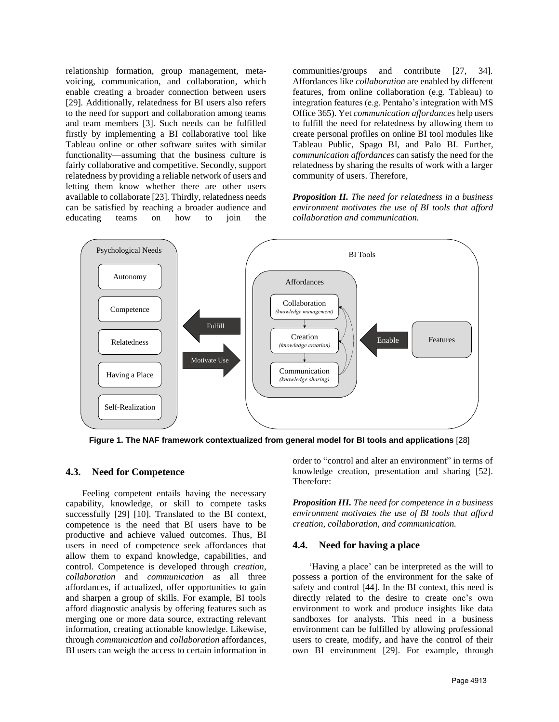relationship formation, group management, metavoicing, communication, and collaboration, which enable creating a broader connection between users [29]. Additionally, relatedness for BI users also refers to the need for support and collaboration among teams and team members [3]. Such needs can be fulfilled firstly by implementing a BI collaborative tool like Tableau online or other software suites with similar functionality––assuming that the business culture is fairly collaborative and competitive. Secondly, support relatedness by providing a reliable network of users and letting them know whether there are other users available to collaborate [23]. Thirdly, relatedness needs can be satisfied by reaching a broader audience and educating teams on how to join the communities/groups and contribute [27, 34]. Affordances like *collaboration* are enabled by different features, from online collaboration (e.g. Tableau) to integration features (e.g. Pentaho's integration with MS Office 365). Yet *communication affordance*s help users to fulfill the need for relatedness by allowing them to create personal profiles on online BI tool modules like Tableau Public, Spago BI, and Palo BI. Further, *communication affordances* can satisfy the need for the relatedness by sharing the results of work with a larger community of users. Therefore,

*Proposition II. The need for relatedness in a business environment motivates the use of BI tools that afford collaboration and communication.*



**Figure 1. The NAF framework contextualized from general model for BI tools and applications** [28]

## **4.3. Need for Competence**

Feeling competent entails having the necessary capability, knowledge, or skill to compete tasks successfully [29] [10]. Translated to the BI context, competence is the need that BI users have to be productive and achieve valued outcomes. Thus, BI users in need of competence seek affordances that allow them to expand knowledge, capabilities, and control. Competence is developed through *creation*, *collaboration* and *communication* as all three affordances, if actualized, offer opportunities to gain and sharpen a group of skills*.* For example, BI tools afford diagnostic analysis by offering features such as merging one or more data source, extracting relevant information, creating actionable knowledge. Likewise, through *communication* and *collaboration* affordances, BI users can weigh the access to certain information in

order to "control and alter an environment" in terms of knowledge creation, presentation and sharing [52]. Therefore:

*Proposition III. The need for competence in a business environment motivates the use of BI tools that afford creation, collaboration, and communication.*

#### **4.4. Need for having a place**

'Having a place' can be interpreted as the will to possess a portion of the environment for the sake of safety and control [44]. In the BI context, this need is directly related to the desire to create one's own environment to work and produce insights like data sandboxes for analysts. This need in a business environment can be fulfilled by allowing professional users to create, modify, and have the control of their own BI environment [29]. For example, through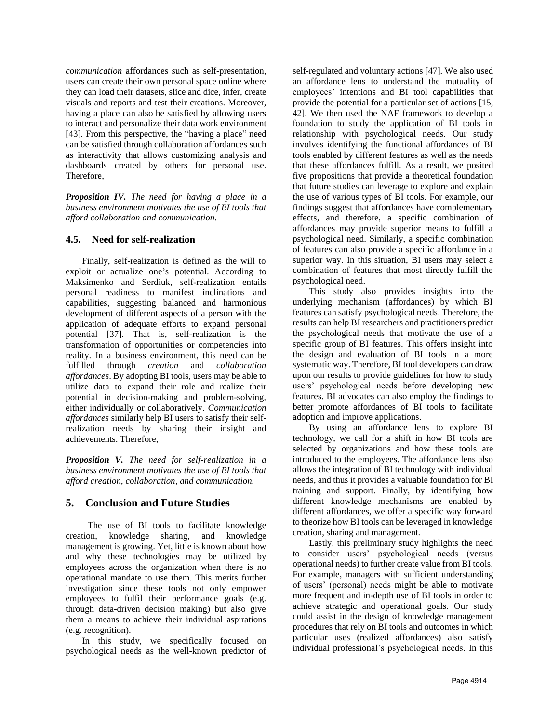*communication* affordances such as self-presentation, users can create their own personal space online where they can load their datasets, slice and dice, infer, create visuals and reports and test their creations. Moreover, having a place can also be satisfied by allowing users to interact and personalize their data work environment [43]. From this perspective, the "having a place" need can be satisfied through collaboration affordances such as interactivity that allows customizing analysis and dashboards created by others for personal use. Therefore,

*Proposition IV. The need for having a place in a business environment motivates the use of BI tools that afford collaboration and communication.*

## **4.5. Need for self-realization**

Finally, self-realization is defined as the will to exploit or actualize one's potential. According to Maksimenko and Serdiuk, self-realization entails personal readiness to manifest inclinations and capabilities, suggesting balanced and harmonious development of different aspects of a person with the application of adequate efforts to expand personal potential [37]. That is, self-realization is the transformation of opportunities or competencies into reality. In a business environment, this need can be fulfilled through *creation* and *collaboration affordances*. By adopting BI tools, users may be able to utilize data to expand their role and realize their potential in decision-making and problem-solving, either individually or collaboratively. *Communication affordances* similarly help BI users to satisfy their selfrealization needs by sharing their insight and achievements. Therefore,

*Proposition V. The need for self-realization in a business environment motivates the use of BI tools that afford creation, collaboration, and communication.* 

# **5. Conclusion and Future Studies**

The use of BI tools to facilitate knowledge creation, knowledge sharing, and knowledge management is growing. Yet, little is known about how and why these technologies may be utilized by employees across the organization when there is no operational mandate to use them. This merits further investigation since these tools not only empower employees to fulfil their performance goals (e.g. through data-driven decision making) but also give them a means to achieve their individual aspirations (e.g. recognition).

In this study, we specifically focused on psychological needs as the well-known predictor of self-regulated and voluntary actions [47]. We also used an affordance lens to understand the mutuality of employees' intentions and BI tool capabilities that provide the potential for a particular set of actions [15, 42]. We then used the NAF framework to develop a foundation to study the application of BI tools in relationship with psychological needs. Our study involves identifying the functional affordances of BI tools enabled by different features as well as the needs that these affordances fulfill. As a result, we posited five propositions that provide a theoretical foundation that future studies can leverage to explore and explain the use of various types of BI tools. For example, our findings suggest that affordances have complementary effects, and therefore, a specific combination of affordances may provide superior means to fulfill a psychological need. Similarly, a specific combination of features can also provide a specific affordance in a superior way. In this situation, BI users may select a combination of features that most directly fulfill the psychological need.

This study also provides insights into the underlying mechanism (affordances) by which BI features can satisfy psychological needs. Therefore, the results can help BI researchers and practitioners predict the psychological needs that motivate the use of a specific group of BI features. This offers insight into the design and evaluation of BI tools in a more systematic way. Therefore, BI tool developers can draw upon our results to provide guidelines for how to study users' psychological needs before developing new features. BI advocates can also employ the findings to better promote affordances of BI tools to facilitate adoption and improve applications.

By using an affordance lens to explore BI technology, we call for a shift in how BI tools are selected by organizations and how these tools are introduced to the employees. The affordance lens also allows the integration of BI technology with individual needs, and thus it provides a valuable foundation for BI training and support. Finally, by identifying how different knowledge mechanisms are enabled by different affordances, we offer a specific way forward to theorize how BI tools can be leveraged in knowledge creation, sharing and management.

Lastly, this preliminary study highlights the need to consider users' psychological needs (versus operational needs) to further create value from BI tools. For example, managers with sufficient understanding of users' (personal) needs might be able to motivate more frequent and in-depth use of BI tools in order to achieve strategic and operational goals. Our study could assist in the design of knowledge management procedures that rely on BI tools and outcomes in which particular uses (realized affordances) also satisfy individual professional's psychological needs. In this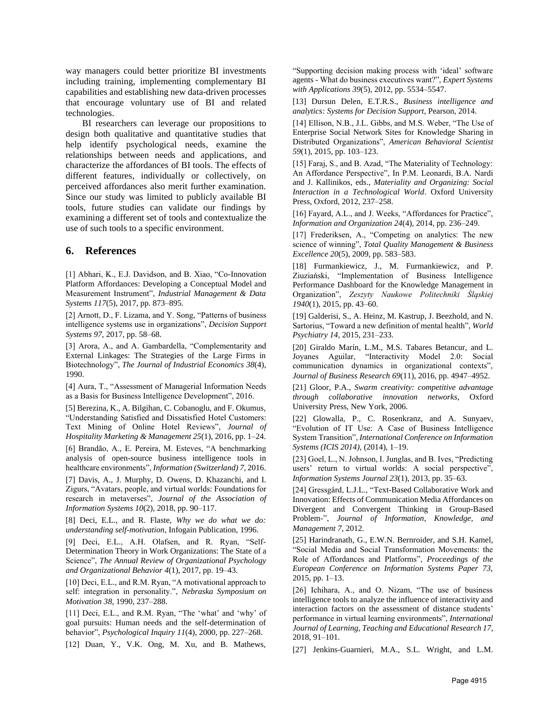way managers could better prioritize BI investments including training, implementing complementary BI capabilities and establishing new data-driven processes that encourage voluntary use of BI and related technologies.

BI researchers can leverage our propositions to design both qualitative and quantitative studies that help identify psychological needs, examine the relationships between needs and applications, and characterize the affordances of BI tools. The effects of different features, individually or collectively, on perceived affordances also merit further examination. Since our study was limited to publicly available BI tools, future studies can validate our findings by examining a different set of tools and contextualize the use of such tools to a specific environment.

## **6. References**

[1] Abhari, K., E.J. Davidson, and B. Xiao, "Co-Innovation Platform Affordances: Developing a Conceptual Model and Measurement Instrument", *Industrial Management & Data Systems 117*(5), 2017, pp. 873–895.

[2] Arnott, D., F. Lizama, and Y. Song, "Patterns of business intelligence systems use in organizations", *Decision Support Systems 97*, 2017, pp. 58–68.

[3] Arora, A., and A. Gambardella, "Complementarity and External Linkages: The Strategies of the Large Firms in Biotechnology", *The Journal of Industrial Economics 38*(4), 1990.

[4] Aura, T., "Assessment of Managerial Information Needs as a Basis for Business Intelligence Development", 2016.

[5] Berezina, K., A. Bilgihan, C. Cobanoglu, and F. Okumus, "Understanding Satisfied and Dissatisfied Hotel Customers: Text Mining of Online Hotel Reviews", *Journal of Hospitality Marketing & Management 25*(1), 2016, pp. 1–24.

[6] Brandão, A., E. Pereira, M. Esteves, "A benchmarking analysis of open-source business intelligence tools in healthcare environments", *Information (Switzerland) 7*, 2016.

[7] Davis, A., J. Murphy, D. Owens, D. Khazanchi, and I. Zigurs, "Avatars, people, and virtual worlds: Foundations for research in metaverses", *Journal of the Association of Information Systems 10*(2), 2018, pp. 90–117.

[8] Deci, E.L., and R. Flaste, *Why we do what we do: understanding self-motivation*, Infogain Publication, 1996.

[9] Deci, E.L., A.H. Olafsen, and R. Ryan, "Self-Determination Theory in Work Organizations: The State of a Science", *The Annual Review of Organizational Psychology and Organizational Behavior 4*(1), 2017, pp. 19–43.

[10] Deci, E.L., and R.M. Ryan, "A motivational approach to self: integration in personality.", *Nebraska Symposium on Motivation 38*, 1990, 237–288.

[11] Deci, E.L., and R.M. Ryan, "The 'what' and 'why' of goal pursuits: Human needs and the self-determination of behavior", *Psychological Inquiry 11*(4), 2000, pp. 227–268.

[12] Duan, Y., V.K. Ong, M. Xu, and B. Mathews,

"Supporting decision making process with 'ideal' software agents - What do business executives want?", *Expert Systems with Applications 39*(5), 2012, pp. 5534–5547.

[13] Dursun Delen, E.T.R.S., *Business intelligence and analytics: Systems for Decision Support*, Pearson, 2014.

[14] Ellison, N.B., J.L. Gibbs, and M.S. Weber, "The Use of Enterprise Social Network Sites for Knowledge Sharing in Distributed Organizations", *American Behavioral Scientist 59*(1), 2015, pp. 103–123.

[15] Faraj, S., and B. Azad, "The Materiality of Technology: An Affordance Perspective", In P.M. Leonardi, B.A. Nardi and J. Kallinikos, eds., *Materiality and Organizing: Social Interaction in a Technological World*. Oxford University Press, Oxford, 2012, 237–258.

[16] Fayard, A.L., and J. Weeks, "Affordances for Practice", *Information and Organization 24*(4), 2014, pp. 236–249.

[17] Frederiksen, A., "Competing on analytics: The new science of winning", *Total Quality Management & Business Excellence 20*(5), 2009, pp. 583–583.

[18] Furmankiewicz, J., M. Furmankiewicz, and P. Ziuziański, "Implementation of Business Intelligence Performance Dashboard for the Knowledge Management in Organization", *Zeszyty Naukowe Politechniki Śląskiej 1940*(1), 2015, pp. 43–60.

[19] Galderisi, S., A. Heinz, M. Kastrup, J. Beezhold, and N. Sartorius, "Toward a new definition of mental health", *World Psychiatry 14*, 2015, 231–233.

[20] Giraldo Marín, L.M., M.S. Tabares Betancur, and L. Joyanes Aguilar, "Interactivity Model 2.0: Social communication dynamics in organizational contexts", *Journal of Business Research 69*(11), 2016, pp. 4947–4952.

[21] Gloor, P.A., *Swarm creativity: competitive advantage through collaborative innovation networks*, Oxford University Press, New York, 2006.

[22] Glowalla, P., C. Rosenkranz, and A. Sunyaev, "Evolution of IT Use: A Case of Business Intelligence System Transition", *International Conference on Information Systems (ICIS 2014)*, (2014), 1–19.

[23] Goel, L., N. Johnson, I. Junglas, and B. Ives, "Predicting users' return to virtual worlds: A social perspective", *Information Systems Journal 23*(1), 2013, pp. 35–63.

[24] Gressgård, L.J.L., "Text-Based Collaborative Work and Innovation: Effects of Communication Media Affordances on Divergent and Convergent Thinking in Group-Based Problem-", *Journal of Information, Knowledge, and Management 7*, 2012.

[25] Harindranath, G., E.W.N. Bernroider, and S.H. Kamel, "Social Media and Social Transformation Movements: the Role of Affordances and Platforms", *Proceedings of the European Conference on Information Systems Paper 73*, 2015, pp. 1–13.

[26] Ichihara, A., and O. Nizam, "The use of business intelligence tools to analyze the influence of interactivity and interaction factors on the assessment of distance students' performance in virtual learning environments", *International Journal of Learning, Teaching and Educational Research 17*, 2018, 91–101.

[27] Jenkins-Guarnieri, M.A., S.L. Wright, and L.M.